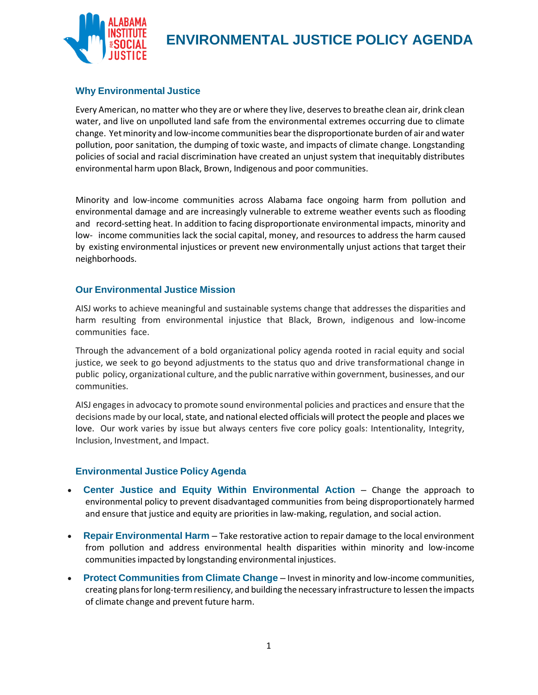

### **Why Environmental Justice**

Every American, no matter who they are or where they live, deservesto breathe clean air, drink clean water, and live on unpolluted land safe from the environmental extremes occurring due to climate change. Yet minority and low-income communities bear the disproportionate burden of air and water pollution, poor sanitation, the dumping of toxic waste, and impacts of climate change. Longstanding policies of social and racial discrimination have created an unjust system that inequitably distributes environmental harm upon Black, Brown, Indigenous and poor communities.

Minority and low-income communities across Alabama face ongoing harm from pollution and environmental damage and are increasingly vulnerable to extreme weather events such as flooding and record-setting heat. In addition to facing disproportionate environmental impacts, minority and low- income communities lack the social capital, money, and resources to address the harm caused by existing environmental injustices or prevent new environmentally unjust actions that target their neighborhoods.

#### **Our Environmental Justice Mission**

AISJ works to achieve meaningful and sustainable systems change that addresses the disparities and harm resulting from environmental injustice that Black, Brown, indigenous and low-income communities face.

Through the advancement of a bold organizational policy agenda rooted in racial equity and social justice, we seek to go beyond adjustments to the status quo and drive transformational change in public policy, organizational culture, and the public narrative within government, businesses, and our communities.

AISJ engagesin advocacy to promote sound environmental policies and practices and ensure that the decisions made by our local, state, and national elected officials will protect the people and places we love. Our work varies by issue but always centers five core policy goals: Intentionality, Integrity, Inclusion, Investment, and Impact.

#### **Environmental Justice Policy Agenda**

- **Center Justice and Equity Within Environmental Action** Change the approach to environmental policy to prevent disadvantaged communities from being disproportionately harmed and ensure that justice and equity are priorities in law-making, regulation, and social action.
- **Repair Environmental Harm** Take restorative action to repair damage to the local environment from pollution and address environmental health disparities within minority and low-income communitiesimpacted by longstanding environmental injustices.
- **Protect Communities from Climate Change** Invest in minority and low-income communities, creating plansforlong-termresiliency, and building the necessary infrastructure to lessen the impacts of climate change and prevent future harm.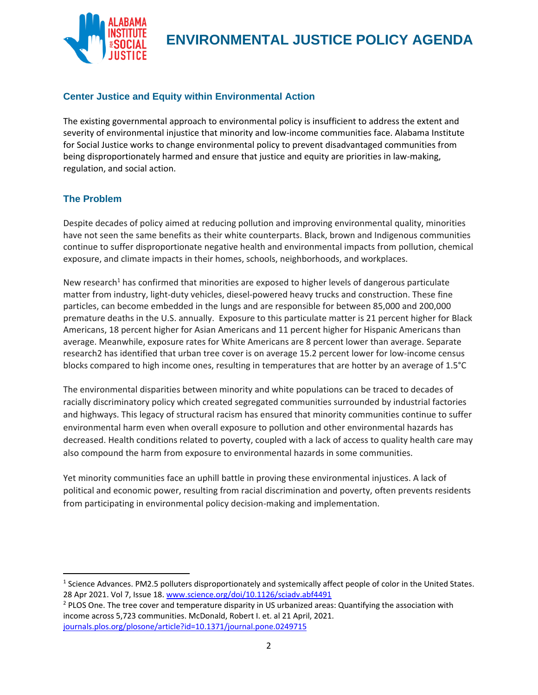

## **Center Justice and Equity within Environmental Action**

The existing governmental approach to environmental policy is insufficient to address the extent and severity of environmental injustice that minority and low-income communities face. Alabama Institute for Social Justice works to change environmental policy to prevent disadvantaged communities from being disproportionately harmed and ensure that justice and equity are priorities in law-making, regulation, and social action.

### **The Problem**

Despite decades of policy aimed at reducing pollution and improving environmental quality, minorities have not seen the same benefits as their white counterparts. Black, brown and Indigenous communities continue to suffer disproportionate negative health and environmental impacts from pollution, chemical exposure, and climate impacts in their homes, schools, neighborhoods, and workplaces.

New research<sup>1</sup> has confirmed that minorities are exposed to higher levels of dangerous particulate matter from industry, light-duty vehicles, diesel-powered heavy trucks and construction. These fine particles, can become embedded in the lungs and are responsible for between 85,000 and 200,000 premature deaths in the U.S. annually. Exposure to this particulate matter is 21 percent higher for Black Americans, 18 percent higher for Asian Americans and 11 percent higher for Hispanic Americans than average. Meanwhile, exposure rates for White Americans are 8 percent lower than average. Separate research2 has identified that urban tree cover is on average 15.2 percent lower for low-income census blocks compared to high income ones, resulting in temperatures that are hotter by an average of 1.5°C

The environmental disparities between minority and white populations can be traced to decades of racially discriminatory policy which created segregated communities surrounded by industrial factories and highways. This legacy of structural racism has ensured that minority communities continue to suffer environmental harm even when overall exposure to pollution and other environmental hazards has decreased. Health conditions related to poverty, coupled with a lack of access to quality health care may also compound the harm from exposure to environmental hazards in some communities.

Yet minority communities face an uphill battle in proving these environmental injustices. A lack of political and economic power, resulting from racial discrimination and poverty, often prevents residents from participating in environmental policy decision-making and implementation.

<sup>&</sup>lt;sup>1</sup> Science Advances. PM2.5 polluters disproportionately and systemically affect people of color in the United States. 28 Apr 2021. Vol 7, Issue 18. [www.science.org/doi/10.1126/sciadv.abf4491](http://www.science.org/doi/10.1126/sciadv.abf4491)

<sup>&</sup>lt;sup>2</sup> PLOS One. The tree cover and temperature disparity in US urbanized areas: Quantifying the association with income across 5,723 communities. McDonald, Robert I. et. al 21 April, 2021. [journals.plos.org/plosone/article?id=10.1371/journal.pone.0249715](https://journals.plos.org/plosone/article?id=10.1371/journal.pone.0249715)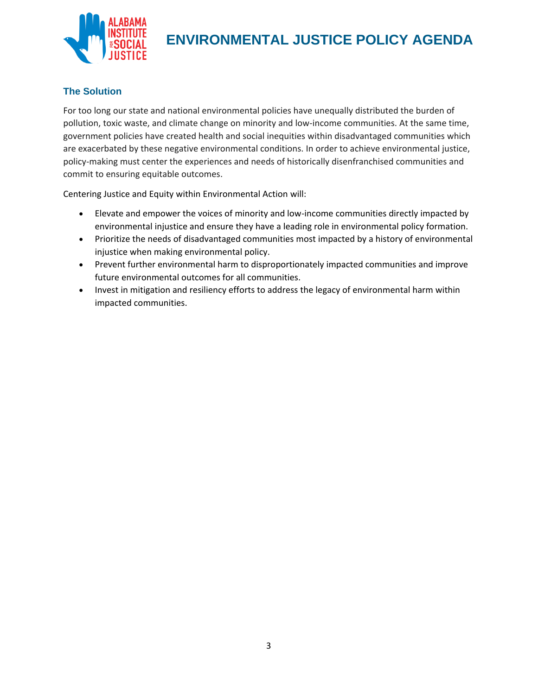

### **The Solution**

For too long our state and national environmental policies have unequally distributed the burden of pollution, toxic waste, and climate change on minority and low-income communities. At the same time, government policies have created health and social inequities within disadvantaged communities which are exacerbated by these negative environmental conditions. In order to achieve environmental justice, policy-making must center the experiences and needs of historically disenfranchised communities and commit to ensuring equitable outcomes.

Centering Justice and Equity within Environmental Action will:

- Elevate and empower the voices of minority and low-income communities directly impacted by environmental injustice and ensure they have a leading role in environmental policy formation.
- Prioritize the needs of disadvantaged communities most impacted by a history of environmental injustice when making environmental policy.
- Prevent further environmental harm to disproportionately impacted communities and improve future environmental outcomes for all communities.
- Invest in mitigation and resiliency efforts to address the legacy of environmental harm within impacted communities.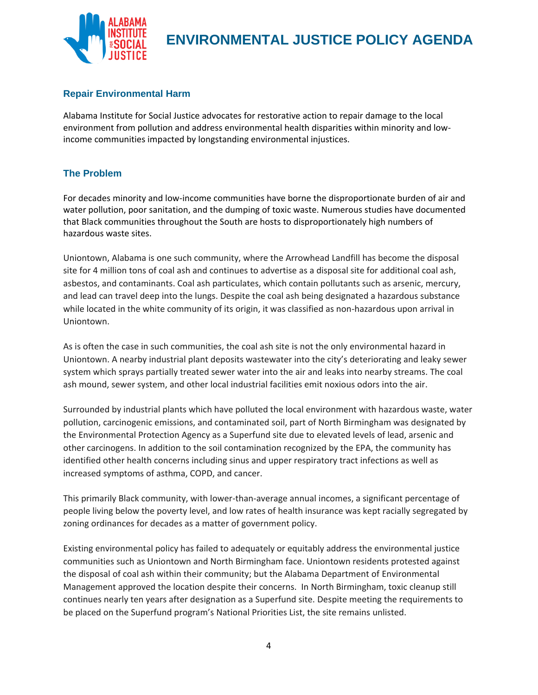

### **Repair Environmental Harm**

Alabama Institute for Social Justice advocates for restorative action to repair damage to the local environment from pollution and address environmental health disparities within minority and lowincome communities impacted by longstanding environmental injustices.

### **The Problem**

For decades minority and low-income communities have borne the disproportionate burden of air and water pollution, poor sanitation, and the dumping of toxic waste. Numerous studies have documented that Black communities throughout the South are hosts to disproportionately high numbers of hazardous waste sites.

Uniontown, Alabama is one such community, where the Arrowhead Landfill has become the disposal site for 4 million tons of coal ash and continues to advertise as a disposal site for additional coal ash, asbestos, and contaminants. Coal ash particulates, which contain pollutants such as arsenic, mercury, and lead can travel deep into the lungs. Despite the coal ash being designated a hazardous substance while located in the white community of its origin, it was classified as non-hazardous upon arrival in Uniontown.

As is often the case in such communities, the coal ash site is not the only environmental hazard in Uniontown. A nearby industrial plant deposits wastewater into the city's deteriorating and leaky sewer system which sprays partially treated sewer water into the air and leaks into nearby streams. The coal ash mound, sewer system, and other local industrial facilities emit noxious odors into the air.

Surrounded by industrial plants which have polluted the local environment with hazardous waste, water pollution, carcinogenic emissions, and contaminated soil, part of North Birmingham was designated by the Environmental Protection Agency as a Superfund site due to elevated levels of lead, arsenic and other carcinogens. In addition to the soil contamination recognized by the EPA, the community has identified other health concerns including sinus and upper respiratory tract infections as well as increased symptoms of asthma, COPD, and cancer.

This primarily Black community, with lower-than-average annual incomes, a significant percentage of people living below the poverty level, and low rates of health insurance was kept racially segregated by zoning ordinances for decades as a matter of government policy.

Existing environmental policy has failed to adequately or equitably address the environmental justice communities such as Uniontown and North Birmingham face. Uniontown residents protested against the disposal of coal ash within their community; but the Alabama Department of Environmental Management approved the location despite their concerns. In North Birmingham, toxic cleanup still continues nearly ten years after designation as a Superfund site. Despite meeting the requirements to be placed on the Superfund program's National Priorities List, the site remains unlisted.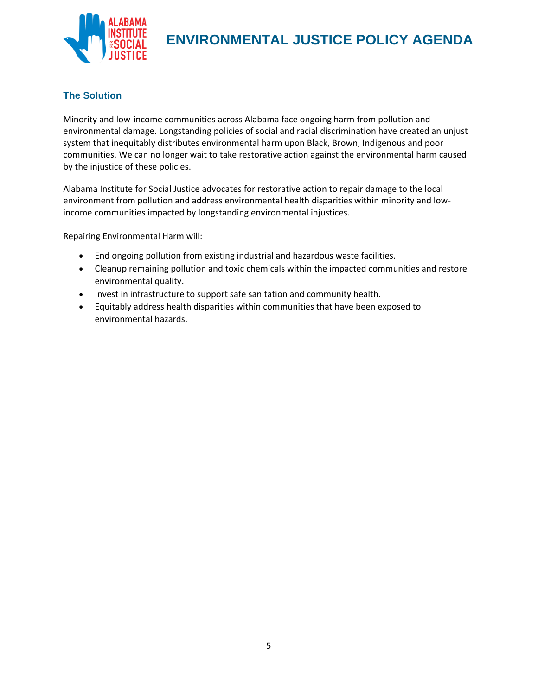

## **The Solution**

Minority and low-income communities across Alabama face ongoing harm from pollution and environmental damage. Longstanding policies of social and racial discrimination have created an unjust system that inequitably distributes environmental harm upon Black, Brown, Indigenous and poor communities. We can no longer wait to take restorative action against the environmental harm caused by the injustice of these policies.

Alabama Institute for Social Justice advocates for restorative action to repair damage to the local environment from pollution and address environmental health disparities within minority and lowincome communities impacted by longstanding environmental injustices.

Repairing Environmental Harm will:

- End ongoing pollution from existing industrial and hazardous waste facilities.
- Cleanup remaining pollution and toxic chemicals within the impacted communities and restore environmental quality.
- Invest in infrastructure to support safe sanitation and community health.
- Equitably address health disparities within communities that have been exposed to environmental hazards.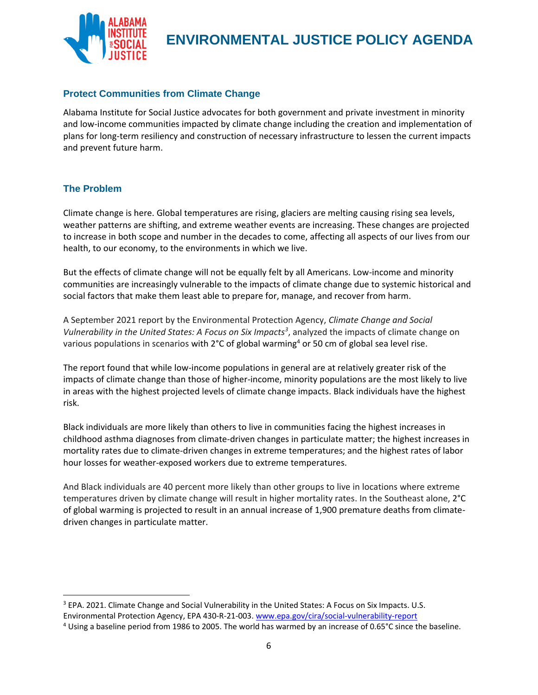

## **Protect Communities from Climate Change**

Alabama Institute for Social Justice advocates for both government and private investment in minority and low-income communities impacted by climate change including the creation and implementation of plans for long-term resiliency and construction of necessary infrastructure to lessen the current impacts and prevent future harm.

### **The Problem**

Climate change is here. Global temperatures are rising, glaciers are melting causing rising sea levels, weather patterns are shifting, and extreme weather events are increasing. These changes are projected to increase in both scope and number in the decades to come, affecting all aspects of our lives from our health, to our economy, to the environments in which we live.

But the effects of climate change will not be equally felt by all Americans. Low-income and minority communities are increasingly vulnerable to the impacts of climate change due to systemic historical and social factors that make them least able to prepare for, manage, and recover from harm.

A September 2021 report by the Environmental Protection Agency, *Climate Change and Social Vulnerability in the United States: A Focus on Six Impacts<sup>3</sup>* , analyzed the impacts of climate change on various populations in scenarios with  $2^{\circ}$ C of global warming<sup>4</sup> or 50 cm of global sea level rise.

The report found that while low-income populations in general are at relatively greater risk of the impacts of climate change than those of higher-income, minority populations are the most likely to live in areas with the highest projected levels of climate change impacts. Black individuals have the highest risk.

Black individuals are more likely than others to live in communities facing the highest increases in childhood asthma diagnoses from climate-driven changes in particulate matter; the highest increases in mortality rates due to climate-driven changes in extreme temperatures; and the highest rates of labor hour losses for weather-exposed workers due to extreme temperatures.

And Black individuals are 40 percent more likely than other groups to live in locations where extreme temperatures driven by climate change will result in higher mortality rates. In the Southeast alone, 2°C of global warming is projected to result in an annual increase of 1,900 premature deaths from climatedriven changes in particulate matter.

<sup>&</sup>lt;sup>3</sup> EPA. 2021. Climate Change and Social Vulnerability in the United States: A Focus on Six Impacts. U.S. Environmental Protection Agency, EPA 430-R-21-003.<www.epa.gov/cira/social-vulnerability-report>

<sup>4</sup> Using a baseline period from 1986 to 2005. The world has warmed by an increase of 0.65°C since the baseline.